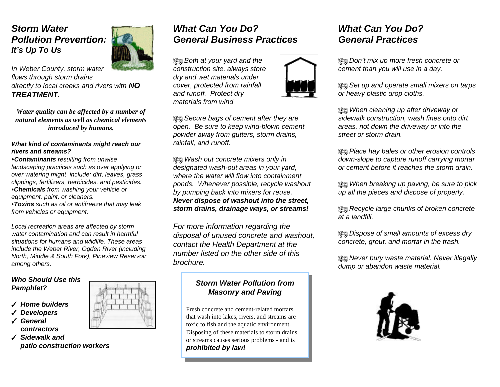## *Storm WaterPollution Prevention:It's Up To Us*

*In Weber County, storm water flows through storm drains directly to local creeks and rivers with NO TREATMENT.* 

*Water quality can be affected by a number of natural elements as well as chemical elementsintroduced by humans.*

#### *What kind of contaminants might reach our rivers and streams?*

<sup>C</sup>*Contaminants resulting from unwise landscaping practices such as over applying or over watering might include: dirt, leaves, grass clippings, fertilizers, herbicides, and pesticides.* <sup>C</sup>*Chemicals from washing your vehicle or equipment, paint, or cleaners.*

<sup>C</sup>*Toxins such as oil or antifreeze that may leak from vehicles or equipment.*

*Local recreation areas are affected by storm water contamination and can result in harmfulsituations for humans and wildlife. These areasinclude the Weber River, Ogden River (including North, Middle & South Fork), Pineview Reservoir among others.*

#### *Who Should Use thisPamphlet?*

- T *Home builders*
- T *Developers*
- T *General*
- *contractors*
- T *Sidewalk and patio construction workers*



# *What Can You Do?General Business Practices*

 *Both at your yard and the construction site, always store dry and wet materials under cover, protected from rainfall and runoff. Protect dry materials from wind*



 *Secure bags of cement after they are open. Be sure to keep wind-blown cement powder away from gutters, storm drains, rainfall, and runoff.*

 *Wash out concrete mixers only in designated wash-out areas in your yard, where the water will flow into containmentponds. Whenever possible, recycle washout by pumping back into mixers for reuse. Never dispose of washout into the street, storm drains, drainage ways, or streams!*

*For more information regarding the disposal of unused concrete and washout, contact the Health Department at the number listed on the other side of thisbrochure.*

## *Storm Water Pollution fromMasonry and Paving*

Fresh concrete and cement-related mortarsthat wash into lakes, rivers, and streams are toxic to fish and the aquatic environment. Disposing of these materials to storm drains or streams causes serious problems - and is *prohibited by law!*

## *What Can You Do?General Practices*

 *Don't mix up more fresh concrete or cement than you will use in a day.*

 *Set up and operate small mixers on tarps or heavy plastic drop cloths.*

 *When cleaning up after driveway or sidewalk construction, wash fines onto dirt areas, not down the driveway or into the street or storm drain.*

 *Place hay bales or other erosion controls down-slope to capture runoff carrying mortar or cement before it reaches the storm drain.*

 *When breaking up paving, be sure to pick up all the pieces and dispose of properly.*

 *Recycle large chunks of broken concrete at a landfill.*

 *Dispose of small amounts of excess dry concrete, grout, and mortar in the trash.*

 *Never bury waste material. Never illegally dump or abandon waste material.*